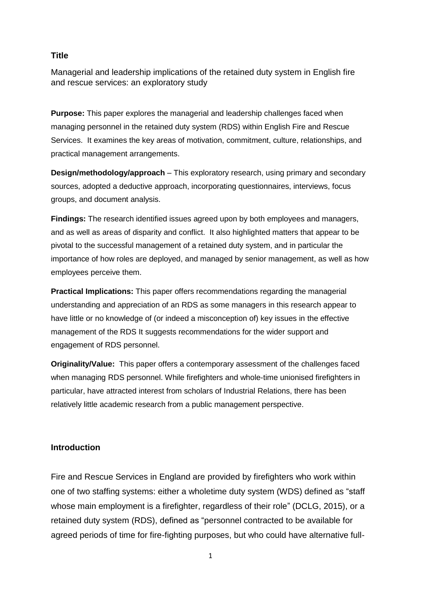## **Title**

Managerial and leadership implications of the retained duty system in English fire and rescue services: an exploratory study

**Purpose:** This paper explores the managerial and leadership challenges faced when managing personnel in the retained duty system (RDS) within English Fire and Rescue Services. It examines the key areas of motivation, commitment, culture, relationships, and practical management arrangements.

**Design/methodology/approach** – This exploratory research, using primary and secondary sources, adopted a deductive approach, incorporating questionnaires, interviews, focus groups, and document analysis.

**Findings:** The research identified issues agreed upon by both employees and managers, and as well as areas of disparity and conflict. It also highlighted matters that appear to be pivotal to the successful management of a retained duty system, and in particular the importance of how roles are deployed, and managed by senior management, as well as how employees perceive them.

**Practical Implications:** This paper offers recommendations regarding the managerial understanding and appreciation of an RDS as some managers in this research appear to have little or no knowledge of (or indeed a misconception of) key issues in the effective management of the RDS It suggests recommendations for the wider support and engagement of RDS personnel.

**Originality/Value:** This paper offers a contemporary assessment of the challenges faced when managing RDS personnel. While firefighters and whole-time unionised firefighters in particular, have attracted interest from scholars of Industrial Relations, there has been relatively little academic research from a public management perspective.

## **Introduction**

Fire and Rescue Services in England are provided by firefighters who work within one of two staffing systems: either a wholetime duty system (WDS) defined as "staff whose main employment is a firefighter, regardless of their role" (DCLG, 2015), or a retained duty system (RDS), defined as "personnel contracted to be available for agreed periods of time for fire-fighting purposes, but who could have alternative full-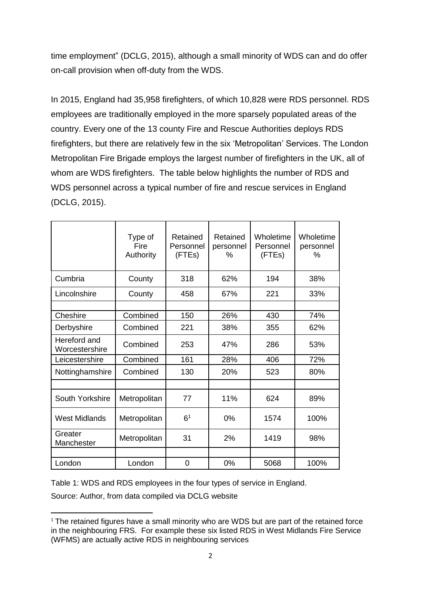time employment" (DCLG, 2015), although a small minority of WDS can and do offer on-call provision when off-duty from the WDS.

In 2015, England had 35,958 firefighters, of which 10,828 were RDS personnel. RDS employees are traditionally employed in the more sparsely populated areas of the country. Every one of the 13 county Fire and Rescue Authorities deploys RDS firefighters, but there are relatively few in the six 'Metropolitan' Services. The London Metropolitan Fire Brigade employs the largest number of firefighters in the UK, all of whom are WDS firefighters. The table below highlights the number of RDS and WDS personnel across a typical number of fire and rescue services in England (DCLG, 2015).

|                                | Type of<br>Fire<br>Authority | Retained<br>Personnel<br>(FTEs) | Retained<br>personnel<br>$\%$ | Wholetime<br>Personnel<br>(FTEs) | Wholetime<br>personnel<br>$\%$ |
|--------------------------------|------------------------------|---------------------------------|-------------------------------|----------------------------------|--------------------------------|
| Cumbria                        | County                       | 318                             |                               | 194                              | 38%                            |
| Lincolnshire                   | County                       | 458                             | 67%                           | 221                              | 33%                            |
|                                |                              |                                 |                               |                                  |                                |
| Cheshire                       | Combined                     | 150                             | 26%                           | 430                              | 74%                            |
| Derbyshire                     | Combined                     | 221                             | 38%                           | 355                              | 62%                            |
| Hereford and<br>Worcestershire | Combined                     | 253                             | 47%                           | 286                              | 53%                            |
| Leicestershire                 | Combined                     | 161                             | 28%                           | 406                              | 72%                            |
| Nottinghamshire                | Combined                     | 130                             | 20%                           | 523                              | 80%                            |
|                                |                              |                                 |                               |                                  |                                |
| South Yorkshire                | Metropolitan                 | 77                              | 11%                           | 624                              | 89%                            |
| <b>West Midlands</b>           | Metropolitan                 | 6 <sup>1</sup>                  | 0%                            | 1574                             | 100%                           |
| Greater<br>Manchester          | Metropolitan                 | 31                              | 2%                            | 1419                             | 98%                            |
|                                |                              |                                 |                               |                                  |                                |
| London                         | London                       | $\overline{0}$                  | 0%                            | 5068                             | 100%                           |

Table 1: WDS and RDS employees in the four types of service in England.

Source: Author, from data compiled via DCLG website

**<sup>.</sup>** <sup>1</sup> The retained figures have a small minority who are WDS but are part of the retained force in the neighbouring FRS. For example these six listed RDS in West Midlands Fire Service (WFMS) are actually active RDS in neighbouring services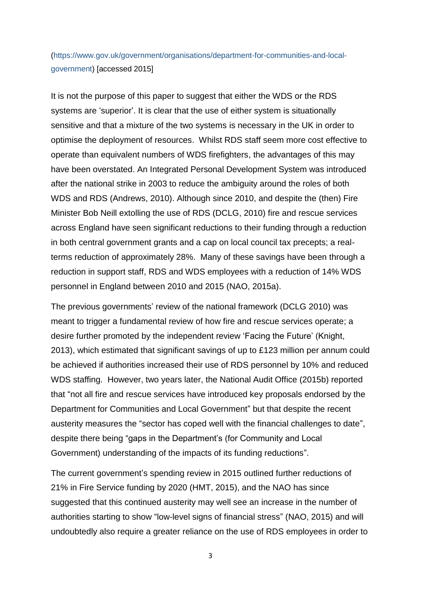[\(https://www.gov.uk/government/organisations/department-for-communities-and-local](https://www.gov.uk/government/organisations/department-for-communities-and-local-government)[government\)](https://www.gov.uk/government/organisations/department-for-communities-and-local-government) [accessed 2015]

It is not the purpose of this paper to suggest that either the WDS or the RDS systems are 'superior'. It is clear that the use of either system is situationally sensitive and that a mixture of the two systems is necessary in the UK in order to optimise the deployment of resources. Whilst RDS staff seem more cost effective to operate than equivalent numbers of WDS firefighters, the advantages of this may have been overstated. An Integrated Personal Development System was introduced after the national strike in 2003 to reduce the ambiguity around the roles of both WDS and RDS (Andrews, 2010). Although since 2010, and despite the (then) Fire Minister Bob Neill extolling the use of RDS (DCLG, 2010) fire and rescue services across England have seen significant reductions to their funding through a reduction in both central government grants and a cap on local council tax precepts; a realterms reduction of approximately 28%. Many of these savings have been through a reduction in support staff, RDS and WDS employees with a reduction of 14% WDS personnel in England between 2010 and 2015 (NAO, 2015a).

The previous governments' review of the national framework (DCLG 2010) was meant to trigger a fundamental review of how fire and rescue services operate; a desire further promoted by the independent review 'Facing the Future' (Knight, 2013), which estimated that significant savings of up to £123 million per annum could be achieved if authorities increased their use of RDS personnel by 10% and reduced WDS staffing. However, two years later, the National Audit Office (2015b) reported that "not all fire and rescue services have introduced key proposals endorsed by the Department for Communities and Local Government" but that despite the recent austerity measures the "sector has coped well with the financial challenges to date", despite there being "gaps in the Department's (for Community and Local Government) understanding of the impacts of its funding reductions".

The current government's spending review in 2015 outlined further reductions of 21% in Fire Service funding by 2020 (HMT, 2015), and the NAO has since suggested that this continued austerity may well see an increase in the number of authorities starting to show "low-level signs of financial stress" (NAO, 2015) and will undoubtedly also require a greater reliance on the use of RDS employees in order to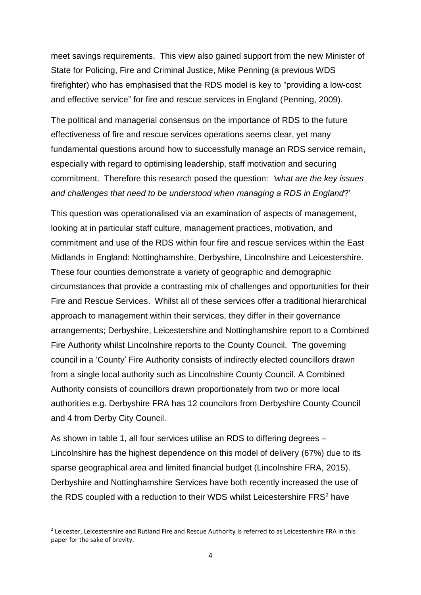meet savings requirements. This view also gained support from the new Minister of State for Policing, Fire and Criminal Justice, Mike Penning (a previous WDS firefighter) who has emphasised that the RDS model is key to "providing a low-cost and effective service" for fire and rescue services in England (Penning, 2009).

The political and managerial consensus on the importance of RDS to the future effectiveness of fire and rescue services operations seems clear, yet many fundamental questions around how to successfully manage an RDS service remain, especially with regard to optimising leadership, staff motivation and securing commitment. Therefore this research posed the question: *'what are the key issues and challenges that need to be understood when managing a RDS in England*?'

This question was operationalised via an examination of aspects of management, looking at in particular staff culture, management practices, motivation, and commitment and use of the RDS within four fire and rescue services within the East Midlands in England: Nottinghamshire, Derbyshire, Lincolnshire and Leicestershire. These four counties demonstrate a variety of geographic and demographic circumstances that provide a contrasting mix of challenges and opportunities for their Fire and Rescue Services. Whilst all of these services offer a traditional hierarchical approach to management within their services, they differ in their governance arrangements; Derbyshire, Leicestershire and Nottinghamshire report to a Combined Fire Authority whilst Lincolnshire reports to the County Council. The governing council in a 'County' Fire Authority consists of indirectly elected councillors drawn from a single local authority such as Lincolnshire County Council. A Combined Authority consists of councillors drawn proportionately from two or more local authorities e.g. Derbyshire FRA has 12 councilors from Derbyshire County Council and 4 from Derby City Council.

As shown in table 1, all four services utilise an RDS to differing degrees – Lincolnshire has the highest dependence on this model of delivery (67%) due to its sparse geographical area and limited financial budget (Lincolnshire FRA, 2015). Derbyshire and Nottinghamshire Services have both recently increased the use of the RDS coupled with a reduction to their WDS whilst Leicestershire FRS<sup>2</sup> have

**.** 

<sup>&</sup>lt;sup>2</sup> Leicester, Leicestershire and Rutland Fire and Rescue Authority is referred to as Leicestershire FRA in this paper for the sake of brevity.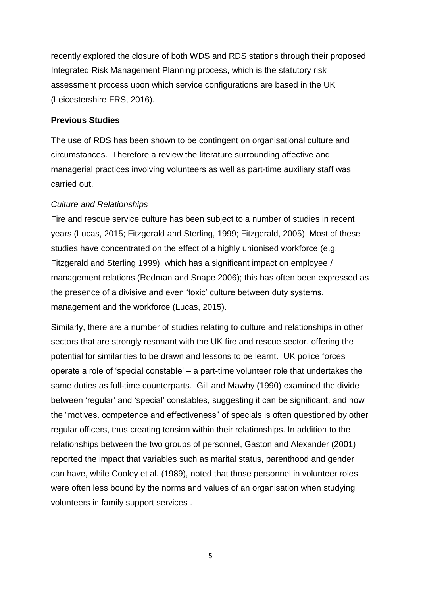recently explored the closure of both WDS and RDS stations through their proposed Integrated Risk Management Planning process, which is the statutory risk assessment process upon which service configurations are based in the UK (Leicestershire FRS, 2016).

## **Previous Studies**

The use of RDS has been shown to be contingent on organisational culture and circumstances. Therefore a review the literature surrounding affective and managerial practices involving volunteers as well as part-time auxiliary staff was carried out.

# *Culture and Relationships*

Fire and rescue service culture has been subject to a number of studies in recent years (Lucas, 2015; Fitzgerald and Sterling, 1999; Fitzgerald, 2005). Most of these studies have concentrated on the effect of a highly unionised workforce (e,g. Fitzgerald and Sterling 1999), which has a significant impact on employee / management relations (Redman and Snape 2006); this has often been expressed as the presence of a divisive and even 'toxic' culture between duty systems, management and the workforce (Lucas, 2015).

Similarly, there are a number of studies relating to culture and relationships in other sectors that are strongly resonant with the UK fire and rescue sector, offering the potential for similarities to be drawn and lessons to be learnt. UK police forces operate a role of 'special constable' – a part-time volunteer role that undertakes the same duties as full-time counterparts. Gill and Mawby (1990) examined the divide between 'regular' and 'special' constables, suggesting it can be significant, and how the "motives, competence and effectiveness" of specials is often questioned by other regular officers, thus creating tension within their relationships. In addition to the relationships between the two groups of personnel, Gaston and Alexander (2001) reported the impact that variables such as marital status, parenthood and gender can have, while Cooley et al. (1989), noted that those personnel in volunteer roles were often less bound by the norms and values of an organisation when studying volunteers in family support services .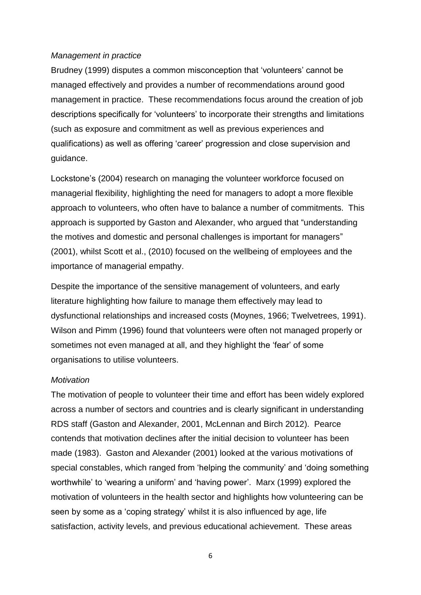### *Management in practice*

Brudney (1999) disputes a common misconception that 'volunteers' cannot be managed effectively and provides a number of recommendations around good management in practice. These recommendations focus around the creation of job descriptions specifically for 'volunteers' to incorporate their strengths and limitations (such as exposure and commitment as well as previous experiences and qualifications) as well as offering 'career' progression and close supervision and guidance.

Lockstone's (2004) research on managing the volunteer workforce focused on managerial flexibility, highlighting the need for managers to adopt a more flexible approach to volunteers, who often have to balance a number of commitments. This approach is supported by Gaston and Alexander, who argued that "understanding the motives and domestic and personal challenges is important for managers" (2001), whilst Scott et al., (2010) focused on the wellbeing of employees and the importance of managerial empathy.

Despite the importance of the sensitive management of volunteers, and early literature highlighting how failure to manage them effectively may lead to dysfunctional relationships and increased costs (Moynes, 1966; Twelvetrees, 1991). Wilson and Pimm (1996) found that volunteers were often not managed properly or sometimes not even managed at all, and they highlight the 'fear' of some organisations to utilise volunteers.

### *Motivation*

The motivation of people to volunteer their time and effort has been widely explored across a number of sectors and countries and is clearly significant in understanding RDS staff (Gaston and Alexander, 2001, McLennan and Birch 2012). Pearce contends that motivation declines after the initial decision to volunteer has been made (1983). Gaston and Alexander (2001) looked at the various motivations of special constables, which ranged from 'helping the community' and 'doing something worthwhile' to 'wearing a uniform' and 'having power'. Marx (1999) explored the motivation of volunteers in the health sector and highlights how volunteering can be seen by some as a 'coping strategy' whilst it is also influenced by age, life satisfaction, activity levels, and previous educational achievement. These areas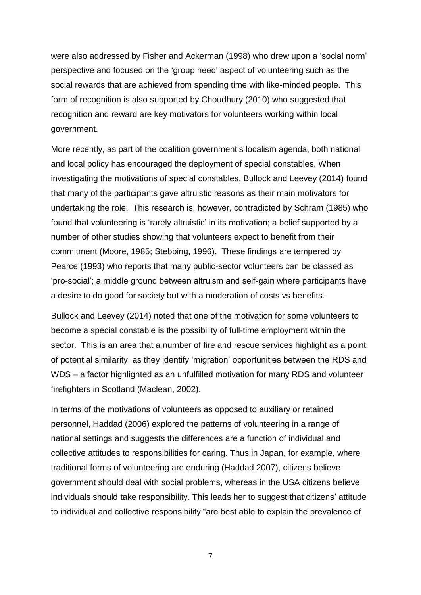were also addressed by Fisher and Ackerman (1998) who drew upon a 'social norm' perspective and focused on the 'group need' aspect of volunteering such as the social rewards that are achieved from spending time with like-minded people. This form of recognition is also supported by Choudhury (2010) who suggested that recognition and reward are key motivators for volunteers working within local government.

More recently, as part of the coalition government's localism agenda, both national and local policy has encouraged the deployment of special constables. When investigating the motivations of special constables, Bullock and Leevey (2014) found that many of the participants gave altruistic reasons as their main motivators for undertaking the role. This research is, however, contradicted by Schram (1985) who found that volunteering is 'rarely altruistic' in its motivation; a belief supported by a number of other studies showing that volunteers expect to benefit from their commitment (Moore, 1985; Stebbing, 1996). These findings are tempered by Pearce (1993) who reports that many public-sector volunteers can be classed as 'pro-social'; a middle ground between altruism and self-gain where participants have a desire to do good for society but with a moderation of costs vs benefits.

Bullock and Leevey (2014) noted that one of the motivation for some volunteers to become a special constable is the possibility of full-time employment within the sector. This is an area that a number of fire and rescue services highlight as a point of potential similarity, as they identify 'migration' opportunities between the RDS and WDS – a factor highlighted as an unfulfilled motivation for many RDS and volunteer firefighters in Scotland (Maclean, 2002).

In terms of the motivations of volunteers as opposed to auxiliary or retained personnel, Haddad (2006) explored the patterns of volunteering in a range of national settings and suggests the differences are a function of individual and collective attitudes to responsibilities for caring. Thus in Japan, for example, where traditional forms of volunteering are enduring (Haddad 2007), citizens believe government should deal with social problems, whereas in the USA citizens believe individuals should take responsibility. This leads her to suggest that citizens' attitude to individual and collective responsibility "are best able to explain the prevalence of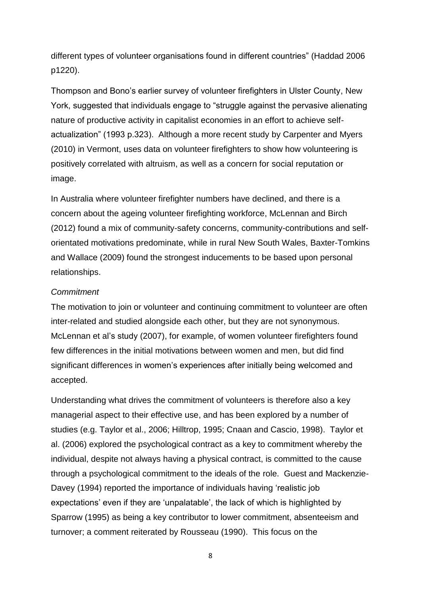different types of volunteer organisations found in different countries" (Haddad 2006 p1220).

Thompson and Bono's earlier survey of volunteer firefighters in Ulster County, New York, suggested that individuals engage to "struggle against the pervasive alienating nature of productive activity in capitalist economies in an effort to achieve selfactualization" (1993 p.323). Although a more recent study by Carpenter and Myers (2010) in Vermont, uses data on volunteer firefighters to show how volunteering is positively correlated with altruism, as well as a concern for social reputation or image.

In Australia where volunteer firefighter numbers have declined, and there is a concern about the ageing volunteer firefighting workforce, McLennan and Birch (2012) found a mix of community-safety concerns, community-contributions and selforientated motivations predominate, while in rural New South Wales, Baxter-Tomkins and Wallace (2009) found the strongest inducements to be based upon personal relationships.

### *Commitment*

The motivation to join or volunteer and continuing commitment to volunteer are often inter-related and studied alongside each other, but they are not synonymous. McLennan et al's study (2007), for example, of women volunteer firefighters found few differences in the initial motivations between women and men, but did find significant differences in women's experiences after initially being welcomed and accepted.

Understanding what drives the commitment of volunteers is therefore also a key managerial aspect to their effective use, and has been explored by a number of studies (e.g. Taylor et al., 2006; Hilltrop, 1995; Cnaan and Cascio, 1998). Taylor et al. (2006) explored the psychological contract as a key to commitment whereby the individual, despite not always having a physical contract, is committed to the cause through a psychological commitment to the ideals of the role. Guest and Mackenzie-Davey (1994) reported the importance of individuals having 'realistic job expectations' even if they are 'unpalatable', the lack of which is highlighted by Sparrow (1995) as being a key contributor to lower commitment, absenteeism and turnover; a comment reiterated by Rousseau (1990). This focus on the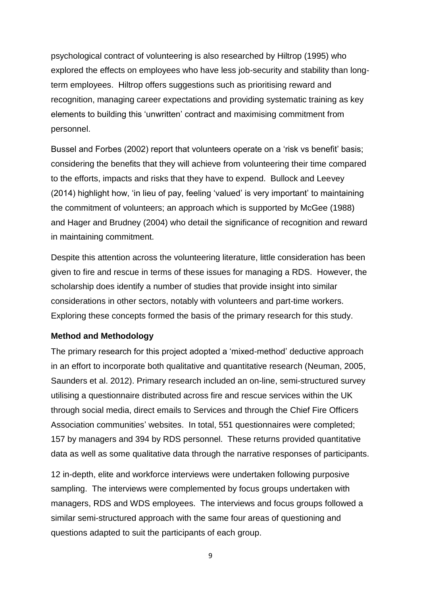psychological contract of volunteering is also researched by Hiltrop (1995) who explored the effects on employees who have less job-security and stability than longterm employees. Hiltrop offers suggestions such as prioritising reward and recognition, managing career expectations and providing systematic training as key elements to building this 'unwritten' contract and maximising commitment from personnel.

Bussel and Forbes (2002) report that volunteers operate on a 'risk vs benefit' basis; considering the benefits that they will achieve from volunteering their time compared to the efforts, impacts and risks that they have to expend. Bullock and Leevey (2014) highlight how, 'in lieu of pay, feeling 'valued' is very important' to maintaining the commitment of volunteers; an approach which is supported by McGee (1988) and Hager and Brudney (2004) who detail the significance of recognition and reward in maintaining commitment.

Despite this attention across the volunteering literature, little consideration has been given to fire and rescue in terms of these issues for managing a RDS. However, the scholarship does identify a number of studies that provide insight into similar considerations in other sectors, notably with volunteers and part-time workers. Exploring these concepts formed the basis of the primary research for this study.

# **Method and Methodology**

The primary research for this project adopted a 'mixed-method' deductive approach in an effort to incorporate both qualitative and quantitative research (Neuman, 2005, Saunders et al. 2012). Primary research included an on-line, semi-structured survey utilising a questionnaire distributed across fire and rescue services within the UK through social media, direct emails to Services and through the Chief Fire Officers Association communities' websites. In total, 551 questionnaires were completed; 157 by managers and 394 by RDS personnel. These returns provided quantitative data as well as some qualitative data through the narrative responses of participants.

12 in-depth, elite and workforce interviews were undertaken following purposive sampling. The interviews were complemented by focus groups undertaken with managers, RDS and WDS employees. The interviews and focus groups followed a similar semi-structured approach with the same four areas of questioning and questions adapted to suit the participants of each group.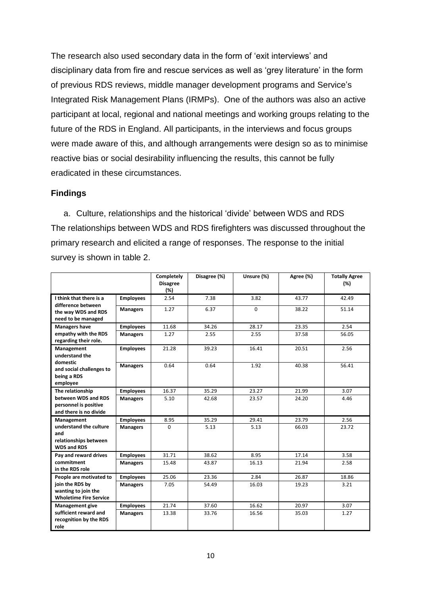The research also used secondary data in the form of 'exit interviews' and disciplinary data from fire and rescue services as well as 'grey literature' in the form of previous RDS reviews, middle manager development programs and Service's Integrated Risk Management Plans (IRMPs). One of the authors was also an active participant at local, regional and national meetings and working groups relating to the future of the RDS in England. All participants, in the interviews and focus groups were made aware of this, and although arrangements were design so as to minimise reactive bias or social desirability influencing the results, this cannot be fully eradicated in these circumstances.

### **Findings**

a. Culture, relationships and the historical 'divide' between WDS and RDS The relationships between WDS and RDS firefighters was discussed throughout the primary research and elicited a range of responses. The response to the initial survey is shown in table 2.

|                                                                                                    |                  | Completely<br><b>Disagree</b><br>(%) | Disagree (%) | Unsure (%) | Agree (%) | <b>Totally Agree</b><br>(%) |
|----------------------------------------------------------------------------------------------------|------------------|--------------------------------------|--------------|------------|-----------|-----------------------------|
| I think that there is a<br>difference between<br>the way WDS and RDS<br>need to be managed         | <b>Employees</b> | 2.54                                 | 7.38         | 3.82       | 43.77     | 42.49                       |
|                                                                                                    | <b>Managers</b>  | 1.27                                 | 6.37         | $\Omega$   | 38.22     | 51.14                       |
| <b>Managers have</b><br>empathy with the RDS<br>regarding their role.                              | <b>Employees</b> | 11.68                                | 34.26        | 28.17      | 23.35     | 2.54                        |
|                                                                                                    | <b>Managers</b>  | 1.27                                 | 2.55         | 2.55       | 37.58     | 56.05                       |
| Management<br>understand the<br>domestic<br>and social challenges to<br>being a RDS<br>employee    | <b>Employees</b> | 21.28                                | 39.23        | 16.41      | 20.51     | 2.56                        |
|                                                                                                    | <b>Managers</b>  | 0.64                                 | 0.64         | 1.92       | 40.38     | 56.41                       |
| The relationship                                                                                   | <b>Employees</b> | 16.37                                | 35.29        | 23.27      | 21.99     | 3.07                        |
| between WDS and RDS<br>personnel is positive<br>and there is no divide                             | <b>Managers</b>  | 5.10                                 | 42.68        | 23.57      | 24.20     | 4.46                        |
| Management                                                                                         | <b>Employees</b> | 8.95                                 | 35.29        | 29.41      | 23.79     | 2.56                        |
| understand the culture<br>and<br>relationships between<br><b>WDS and RDS</b>                       | <b>Managers</b>  | $\Omega$                             | 5.13         | 5.13       | 66.03     | 23.72                       |
| Pay and reward drives<br>commitment<br>in the RDS role                                             | <b>Employees</b> | 31.71                                | 38.62        | 8.95       | 17.14     | 3.58                        |
|                                                                                                    | <b>Managers</b>  | 15.48                                | 43.87        | 16.13      | 21.94     | 2.58                        |
| People are motivated to<br>join the RDS by<br>wanting to join the<br><b>Wholetime Fire Service</b> | <b>Employees</b> | 25.06                                | 23.36        | 2.84       | 26.87     | 18.86                       |
|                                                                                                    | <b>Managers</b>  | 7.05                                 | 54.49        | 16.03      | 19.23     | 3.21                        |
| <b>Management give</b><br>sufficient reward and<br>recognition by the RDS<br>role                  | <b>Employees</b> | 21.74                                | 37.60        | 16.62      | 20.97     | 3.07                        |
|                                                                                                    | <b>Managers</b>  | 13.38                                | 33.76        | 16.56      | 35.03     | 1.27                        |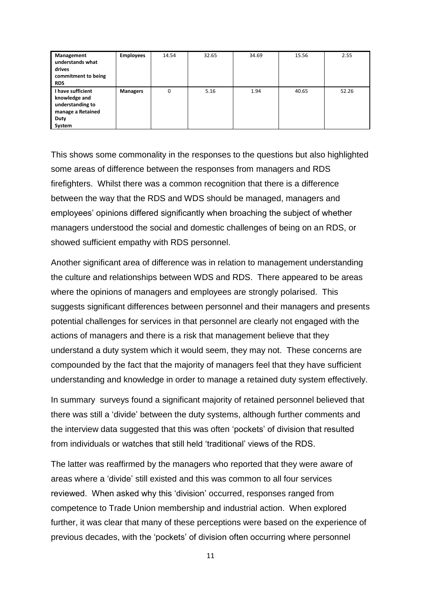| Management<br>understands what<br>drives<br>commitment to being<br><b>RDS</b>                        | <b>Employees</b> | 14.54       | 32.65 | 34.69 | 15.56 | 2.55  |
|------------------------------------------------------------------------------------------------------|------------------|-------------|-------|-------|-------|-------|
| I have sufficient<br>knowledge and<br>understanding to<br>manage a Retained<br><b>Duty</b><br>System | <b>Managers</b>  | $\mathbf 0$ | 5.16  | 1.94  | 40.65 | 52.26 |

This shows some commonality in the responses to the questions but also highlighted some areas of difference between the responses from managers and RDS firefighters. Whilst there was a common recognition that there is a difference between the way that the RDS and WDS should be managed, managers and employees' opinions differed significantly when broaching the subject of whether managers understood the social and domestic challenges of being on an RDS, or showed sufficient empathy with RDS personnel.

Another significant area of difference was in relation to management understanding the culture and relationships between WDS and RDS. There appeared to be areas where the opinions of managers and employees are strongly polarised. This suggests significant differences between personnel and their managers and presents potential challenges for services in that personnel are clearly not engaged with the actions of managers and there is a risk that management believe that they understand a duty system which it would seem, they may not. These concerns are compounded by the fact that the majority of managers feel that they have sufficient understanding and knowledge in order to manage a retained duty system effectively.

In summary surveys found a significant majority of retained personnel believed that there was still a 'divide' between the duty systems, although further comments and the interview data suggested that this was often 'pockets' of division that resulted from individuals or watches that still held 'traditional' views of the RDS.

The latter was reaffirmed by the managers who reported that they were aware of areas where a 'divide' still existed and this was common to all four services reviewed. When asked why this 'division' occurred, responses ranged from competence to Trade Union membership and industrial action. When explored further, it was clear that many of these perceptions were based on the experience of previous decades, with the 'pockets' of division often occurring where personnel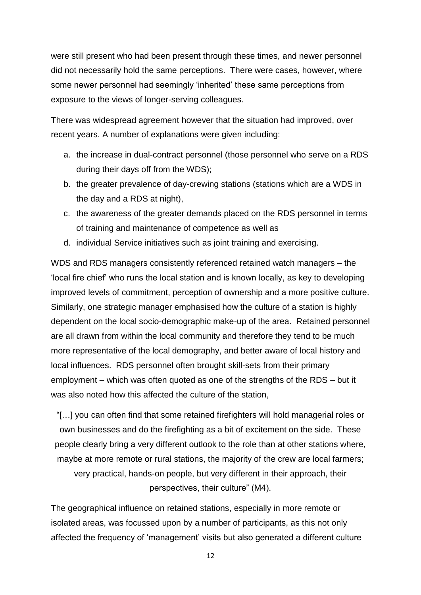were still present who had been present through these times, and newer personnel did not necessarily hold the same perceptions. There were cases, however, where some newer personnel had seemingly 'inherited' these same perceptions from exposure to the views of longer-serving colleagues.

There was widespread agreement however that the situation had improved, over recent years. A number of explanations were given including:

- a. the increase in dual-contract personnel (those personnel who serve on a RDS during their days off from the WDS);
- b. the greater prevalence of day-crewing stations (stations which are a WDS in the day and a RDS at night),
- c. the awareness of the greater demands placed on the RDS personnel in terms of training and maintenance of competence as well as
- d. individual Service initiatives such as joint training and exercising.

WDS and RDS managers consistently referenced retained watch managers – the 'local fire chief' who runs the local station and is known locally, as key to developing improved levels of commitment, perception of ownership and a more positive culture. Similarly, one strategic manager emphasised how the culture of a station is highly dependent on the local socio-demographic make-up of the area. Retained personnel are all drawn from within the local community and therefore they tend to be much more representative of the local demography, and better aware of local history and local influences. RDS personnel often brought skill-sets from their primary employment – which was often quoted as one of the strengths of the RDS – but it was also noted how this affected the culture of the station,

"[…] you can often find that some retained firefighters will hold managerial roles or own businesses and do the firefighting as a bit of excitement on the side. These people clearly bring a very different outlook to the role than at other stations where, maybe at more remote or rural stations, the majority of the crew are local farmers; very practical, hands-on people, but very different in their approach, their perspectives, their culture" (M4).

The geographical influence on retained stations, especially in more remote or isolated areas, was focussed upon by a number of participants, as this not only affected the frequency of 'management' visits but also generated a different culture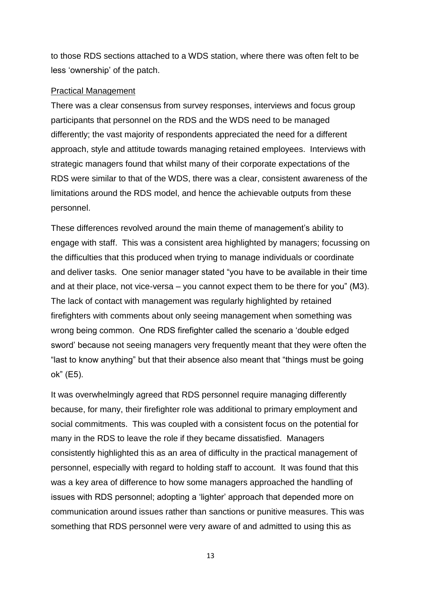to those RDS sections attached to a WDS station, where there was often felt to be less 'ownership' of the patch.

### Practical Management

There was a clear consensus from survey responses, interviews and focus group participants that personnel on the RDS and the WDS need to be managed differently; the vast majority of respondents appreciated the need for a different approach, style and attitude towards managing retained employees. Interviews with strategic managers found that whilst many of their corporate expectations of the RDS were similar to that of the WDS, there was a clear, consistent awareness of the limitations around the RDS model, and hence the achievable outputs from these personnel.

These differences revolved around the main theme of management's ability to engage with staff. This was a consistent area highlighted by managers; focussing on the difficulties that this produced when trying to manage individuals or coordinate and deliver tasks. One senior manager stated "you have to be available in their time and at their place, not vice-versa – you cannot expect them to be there for you" (M3). The lack of contact with management was regularly highlighted by retained firefighters with comments about only seeing management when something was wrong being common. One RDS firefighter called the scenario a 'double edged sword' because not seeing managers very frequently meant that they were often the "last to know anything" but that their absence also meant that "things must be going ok" (E5).

It was overwhelmingly agreed that RDS personnel require managing differently because, for many, their firefighter role was additional to primary employment and social commitments. This was coupled with a consistent focus on the potential for many in the RDS to leave the role if they became dissatisfied. Managers consistently highlighted this as an area of difficulty in the practical management of personnel, especially with regard to holding staff to account. It was found that this was a key area of difference to how some managers approached the handling of issues with RDS personnel; adopting a 'lighter' approach that depended more on communication around issues rather than sanctions or punitive measures. This was something that RDS personnel were very aware of and admitted to using this as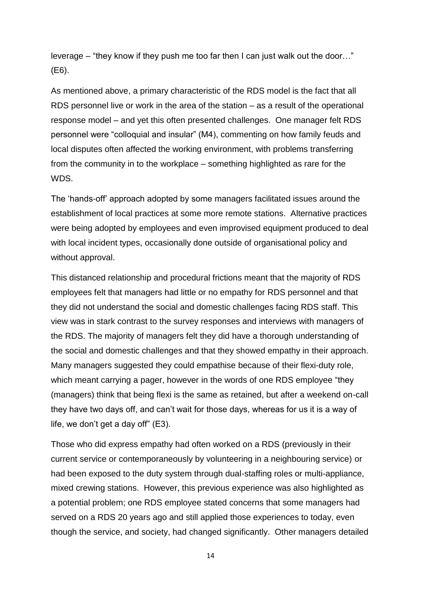leverage – "they know if they push me too far then I can just walk out the door…" (E6).

As mentioned above, a primary characteristic of the RDS model is the fact that all RDS personnel live or work in the area of the station – as a result of the operational response model – and yet this often presented challenges. One manager felt RDS personnel were "colloquial and insular" (M4), commenting on how family feuds and local disputes often affected the working environment, with problems transferring from the community in to the workplace – something highlighted as rare for the WDS.

The 'hands-off' approach adopted by some managers facilitated issues around the establishment of local practices at some more remote stations. Alternative practices were being adopted by employees and even improvised equipment produced to deal with local incident types, occasionally done outside of organisational policy and without approval.

This distanced relationship and procedural frictions meant that the majority of RDS employees felt that managers had little or no empathy for RDS personnel and that they did not understand the social and domestic challenges facing RDS staff. This view was in stark contrast to the survey responses and interviews with managers of the RDS. The majority of managers felt they did have a thorough understanding of the social and domestic challenges and that they showed empathy in their approach. Many managers suggested they could empathise because of their flexi-duty role, which meant carrying a pager, however in the words of one RDS employee "they (managers) think that being flexi is the same as retained, but after a weekend on-call they have two days off, and can't wait for those days, whereas for us it is a way of life, we don't get a day off" (E3).

Those who did express empathy had often worked on a RDS (previously in their current service or contemporaneously by volunteering in a neighbouring service) or had been exposed to the duty system through dual-staffing roles or multi-appliance, mixed crewing stations. However, this previous experience was also highlighted as a potential problem; one RDS employee stated concerns that some managers had served on a RDS 20 years ago and still applied those experiences to today, even though the service, and society, had changed significantly. Other managers detailed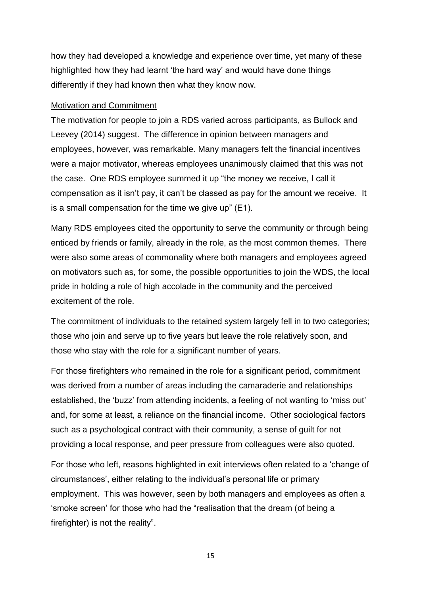how they had developed a knowledge and experience over time, yet many of these highlighted how they had learnt 'the hard way' and would have done things differently if they had known then what they know now.

### Motivation and Commitment

The motivation for people to join a RDS varied across participants, as Bullock and Leevey (2014) suggest. The difference in opinion between managers and employees, however, was remarkable. Many managers felt the financial incentives were a major motivator, whereas employees unanimously claimed that this was not the case. One RDS employee summed it up "the money we receive, I call it compensation as it isn't pay, it can't be classed as pay for the amount we receive. It is a small compensation for the time we give up" (E1).

Many RDS employees cited the opportunity to serve the community or through being enticed by friends or family, already in the role, as the most common themes. There were also some areas of commonality where both managers and employees agreed on motivators such as, for some, the possible opportunities to join the WDS, the local pride in holding a role of high accolade in the community and the perceived excitement of the role.

The commitment of individuals to the retained system largely fell in to two categories; those who join and serve up to five years but leave the role relatively soon, and those who stay with the role for a significant number of years.

For those firefighters who remained in the role for a significant period, commitment was derived from a number of areas including the camaraderie and relationships established, the 'buzz' from attending incidents, a feeling of not wanting to 'miss out' and, for some at least, a reliance on the financial income. Other sociological factors such as a psychological contract with their community, a sense of guilt for not providing a local response, and peer pressure from colleagues were also quoted.

For those who left, reasons highlighted in exit interviews often related to a 'change of circumstances', either relating to the individual's personal life or primary employment. This was however, seen by both managers and employees as often a 'smoke screen' for those who had the "realisation that the dream (of being a firefighter) is not the reality".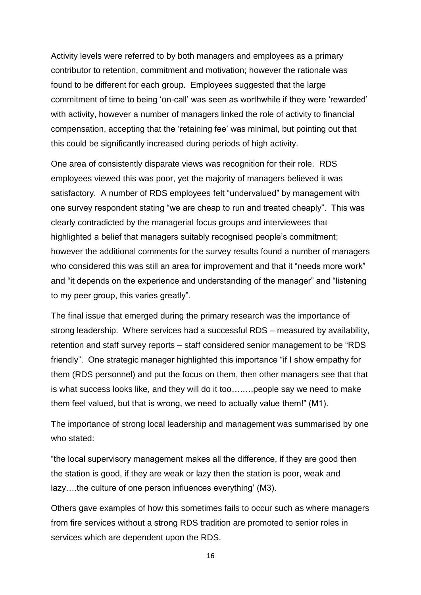Activity levels were referred to by both managers and employees as a primary contributor to retention, commitment and motivation; however the rationale was found to be different for each group. Employees suggested that the large commitment of time to being 'on-call' was seen as worthwhile if they were 'rewarded' with activity, however a number of managers linked the role of activity to financial compensation, accepting that the 'retaining fee' was minimal, but pointing out that this could be significantly increased during periods of high activity.

One area of consistently disparate views was recognition for their role. RDS employees viewed this was poor, yet the majority of managers believed it was satisfactory. A number of RDS employees felt "undervalued" by management with one survey respondent stating "we are cheap to run and treated cheaply". This was clearly contradicted by the managerial focus groups and interviewees that highlighted a belief that managers suitably recognised people's commitment; however the additional comments for the survey results found a number of managers who considered this was still an area for improvement and that it "needs more work" and "it depends on the experience and understanding of the manager" and "listening to my peer group, this varies greatly".

The final issue that emerged during the primary research was the importance of strong leadership. Where services had a successful RDS – measured by availability, retention and staff survey reports – staff considered senior management to be "RDS friendly". One strategic manager highlighted this importance "if I show empathy for them (RDS personnel) and put the focus on them, then other managers see that that is what success looks like, and they will do it too….….people say we need to make them feel valued, but that is wrong, we need to actually value them!" (M1).

The importance of strong local leadership and management was summarised by one who stated:

"the local supervisory management makes all the difference, if they are good then the station is good, if they are weak or lazy then the station is poor, weak and lazy….the culture of one person influences everything' (M3).

Others gave examples of how this sometimes fails to occur such as where managers from fire services without a strong RDS tradition are promoted to senior roles in services which are dependent upon the RDS.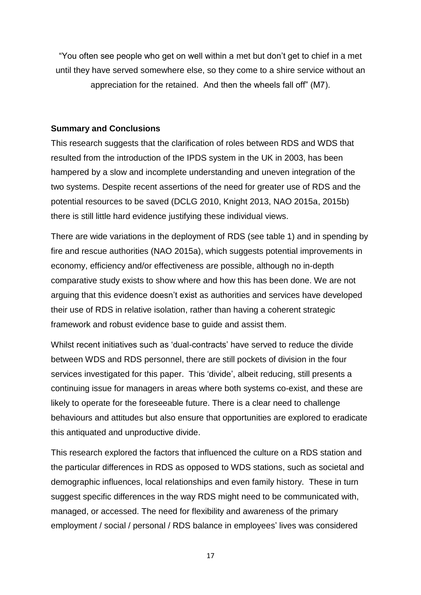"You often see people who get on well within a met but don't get to chief in a met until they have served somewhere else, so they come to a shire service without an appreciation for the retained. And then the wheels fall off" (M7).

### **Summary and Conclusions**

This research suggests that the clarification of roles between RDS and WDS that resulted from the introduction of the IPDS system in the UK in 2003, has been hampered by a slow and incomplete understanding and uneven integration of the two systems. Despite recent assertions of the need for greater use of RDS and the potential resources to be saved (DCLG 2010, Knight 2013, NAO 2015a, 2015b) there is still little hard evidence justifying these individual views.

There are wide variations in the deployment of RDS (see table 1) and in spending by fire and rescue authorities (NAO 2015a), which suggests potential improvements in economy, efficiency and/or effectiveness are possible, although no in-depth comparative study exists to show where and how this has been done. We are not arguing that this evidence doesn't exist as authorities and services have developed their use of RDS in relative isolation, rather than having a coherent strategic framework and robust evidence base to guide and assist them.

Whilst recent initiatives such as 'dual-contracts' have served to reduce the divide between WDS and RDS personnel, there are still pockets of division in the four services investigated for this paper. This 'divide', albeit reducing, still presents a continuing issue for managers in areas where both systems co-exist, and these are likely to operate for the foreseeable future. There is a clear need to challenge behaviours and attitudes but also ensure that opportunities are explored to eradicate this antiquated and unproductive divide.

This research explored the factors that influenced the culture on a RDS station and the particular differences in RDS as opposed to WDS stations, such as societal and demographic influences, local relationships and even family history. These in turn suggest specific differences in the way RDS might need to be communicated with, managed, or accessed. The need for flexibility and awareness of the primary employment / social / personal / RDS balance in employees' lives was considered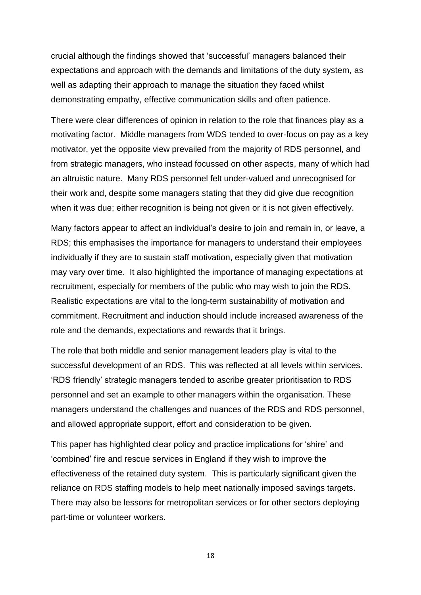crucial although the findings showed that 'successful' managers balanced their expectations and approach with the demands and limitations of the duty system, as well as adapting their approach to manage the situation they faced whilst demonstrating empathy, effective communication skills and often patience.

There were clear differences of opinion in relation to the role that finances play as a motivating factor. Middle managers from WDS tended to over-focus on pay as a key motivator, yet the opposite view prevailed from the majority of RDS personnel, and from strategic managers, who instead focussed on other aspects, many of which had an altruistic nature. Many RDS personnel felt under-valued and unrecognised for their work and, despite some managers stating that they did give due recognition when it was due; either recognition is being not given or it is not given effectively.

Many factors appear to affect an individual's desire to join and remain in, or leave, a RDS; this emphasises the importance for managers to understand their employees individually if they are to sustain staff motivation, especially given that motivation may vary over time. It also highlighted the importance of managing expectations at recruitment, especially for members of the public who may wish to join the RDS. Realistic expectations are vital to the long-term sustainability of motivation and commitment. Recruitment and induction should include increased awareness of the role and the demands, expectations and rewards that it brings.

The role that both middle and senior management leaders play is vital to the successful development of an RDS. This was reflected at all levels within services. 'RDS friendly' strategic managers tended to ascribe greater prioritisation to RDS personnel and set an example to other managers within the organisation. These managers understand the challenges and nuances of the RDS and RDS personnel, and allowed appropriate support, effort and consideration to be given.

This paper has highlighted clear policy and practice implications for 'shire' and 'combined' fire and rescue services in England if they wish to improve the effectiveness of the retained duty system. This is particularly significant given the reliance on RDS staffing models to help meet nationally imposed savings targets. There may also be lessons for metropolitan services or for other sectors deploying part-time or volunteer workers.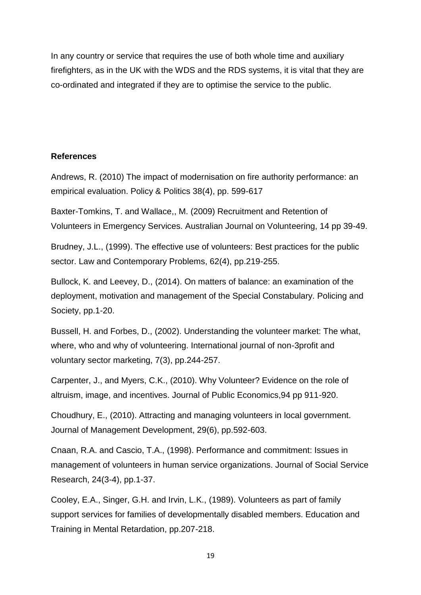In any country or service that requires the use of both whole time and auxiliary firefighters, as in the UK with the WDS and the RDS systems, it is vital that they are co-ordinated and integrated if they are to optimise the service to the public.

### **References**

Andrews, R. (2010) The impact of modernisation on fire authority performance: an empirical evaluation. Policy & Politics 38(4), pp. 599-617

Baxter-Tomkins, T. and Wallace,, M. (2009) Recruitment and Retention of Volunteers in Emergency Services. Australian Journal on Volunteering, 14 pp 39-49.

Brudney, J.L., (1999). The effective use of volunteers: Best practices for the public sector. Law and Contemporary Problems, 62(4), pp.219-255.

Bullock, K. and Leevey, D., (2014). On matters of balance: an examination of the deployment, motivation and management of the Special Constabulary. Policing and Society, pp.1-20.

Bussell, H. and Forbes, D., (2002). Understanding the volunteer market: The what, where, who and why of volunteering. International journal of non-3profit and voluntary sector marketing, 7(3), pp.244-257.

Carpenter, J., and Myers, C.K., (2010). Why Volunteer? Evidence on the role of altruism, image, and incentives. Journal of Public Economics,94 pp 911-920.

Choudhury, E., (2010). Attracting and managing volunteers in local government. Journal of Management Development, 29(6), pp.592-603.

Cnaan, R.A. and Cascio, T.A., (1998). Performance and commitment: Issues in management of volunteers in human service organizations. Journal of Social Service Research, 24(3-4), pp.1-37.

Cooley, E.A., Singer, G.H. and Irvin, L.K., (1989). Volunteers as part of family support services for families of developmentally disabled members. Education and Training in Mental Retardation, pp.207-218.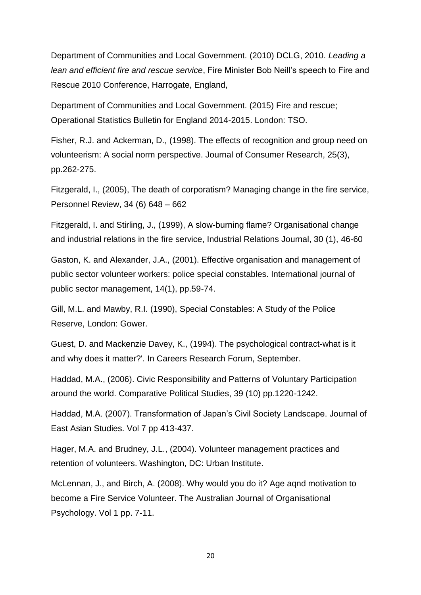Department of Communities and Local Government. (2010) DCLG, 2010. *Leading a lean and efficient fire and rescue service*, Fire Minister Bob Neill's speech to Fire and Rescue 2010 Conference, Harrogate, England,

Department of Communities and Local Government. (2015) Fire and rescue; Operational Statistics Bulletin for England 2014-2015. London: TSO.

Fisher, R.J. and Ackerman, D., (1998). The effects of recognition and group need on volunteerism: A social norm perspective. Journal of Consumer Research, 25(3), pp.262-275.

Fitzgerald, I., (2005), The death of corporatism? Managing change in the fire service, Personnel Review, 34 (6) 648 – 662

Fitzgerald, I. and Stirling, J., (1999), A slow-burning flame? Organisational change and industrial relations in the fire service, Industrial Relations Journal, 30 (1), 46-60

Gaston, K. and Alexander, J.A., (2001). Effective organisation and management of public sector volunteer workers: police special constables. International journal of public sector management, 14(1), pp.59-74.

Gill, M.L. and Mawby, R.I. (1990), Special Constables: A Study of the Police Reserve, London: Gower.

Guest, D. and Mackenzie Davey, K., (1994). The psychological contract-what is it and why does it matter?'. In Careers Research Forum, September.

Haddad, M.A., (2006). Civic Responsibility and Patterns of Voluntary Participation around the world. Comparative Political Studies, 39 (10) pp.1220-1242.

Haddad, M.A. (2007). Transformation of Japan's Civil Society Landscape. Journal of East Asian Studies. Vol 7 pp 413-437.

Hager, M.A. and Brudney, J.L., (2004). Volunteer management practices and retention of volunteers. Washington, DC: Urban Institute.

McLennan, J., and Birch, A. (2008). Why would you do it? Age aqnd motivation to become a Fire Service Volunteer. The Australian Journal of Organisational Psychology. Vol 1 pp. 7-11.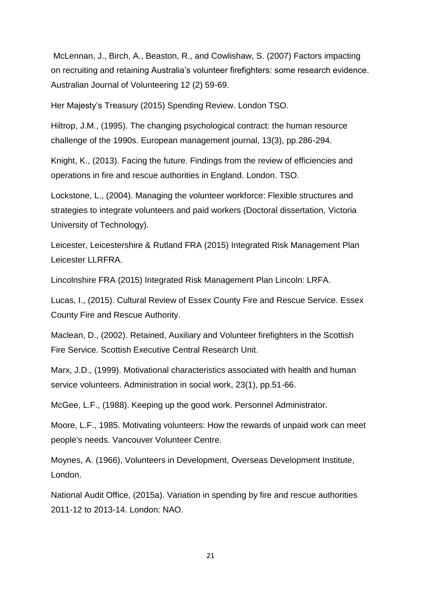McLennan, J., Birch, A., Beaston, R., and Cowlishaw, S. (2007) Factors impacting on recruiting and retaining Australia's volunteer firefighters: some research evidence. Australian Journal of Volunteering 12 (2) 59-69.

Her Majesty's Treasury (2015) Spending Review. London TSO.

Hiltrop, J.M., (1995). The changing psychological contract: the human resource challenge of the 1990s. European management journal, 13(3), pp.286-294.

Knight, K., (2013). Facing the future. Findings from the review of efficiencies and operations in fire and rescue authorities in England. London. TSO.

Lockstone, L., (2004). Managing the volunteer workforce: Flexible structures and strategies to integrate volunteers and paid workers (Doctoral dissertation, Victoria University of Technology).

Leicester, Leicestershire & Rutland FRA (2015) Integrated Risk Management Plan Leicester LLRFRA.

Lincolnshire FRA (2015) Integrated Risk Management Plan Lincoln: LRFA.

Lucas, I., (2015). Cultural Review of Essex County Fire and Rescue Service. Essex County Fire and Rescue Authority.

Maclean, D., (2002). Retained, Auxiliary and Volunteer firefighters in the Scottish Fire Service. Scottish Executive Central Research Unit.

Marx, J.D., (1999). Motivational characteristics associated with health and human service volunteers. Administration in social work, 23(1), pp.51-66.

McGee, L.F., (1988). Keeping up the good work. Personnel Administrator.

Moore, L.F., 1985. Motivating volunteers: How the rewards of unpaid work can meet people's needs. Vancouver Volunteer Centre.

Moynes, A. (1966), Volunteers in Development, Overseas Development Institute, London.

National Audit Office, (2015a). Variation in spending by fire and rescue authorities 2011-12 to 2013-14. London: NAO.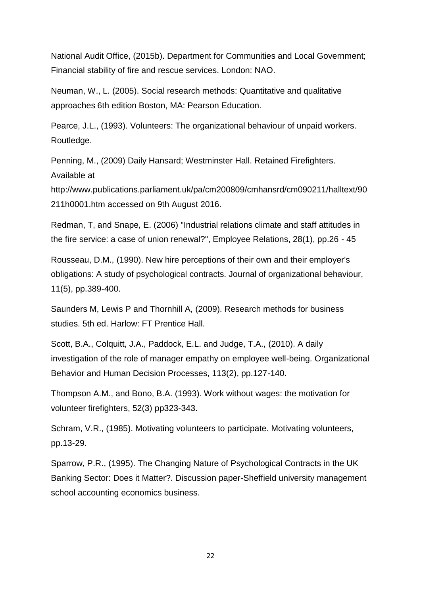National Audit Office, (2015b). Department for Communities and Local Government; Financial stability of fire and rescue services. London: NAO.

Neuman, W., L. (2005). Social research methods: Quantitative and qualitative approaches 6th edition Boston, MA: Pearson Education.

Pearce, J.L., (1993). Volunteers: The organizational behaviour of unpaid workers. Routledge.

Penning, M., (2009) Daily Hansard; Westminster Hall. Retained Firefighters. Available at

[http://www.publications.parliament.uk/pa/cm200809/cmhansrd/cm090211/halltext/90](http://www.publications.parliament.uk/pa/cm200809/cmhansrd/cm090211/halltext/90211h0001.htm) [211h0001.htm](http://www.publications.parliament.uk/pa/cm200809/cmhansrd/cm090211/halltext/90211h0001.htm) accessed on 9th August 2016.

Redman, T, and Snape, E. (2006) "Industrial relations climate and staff attitudes in the fire service: a case of union renewal?", Employee Relations, 28(1), pp.26 - 45

Rousseau, D.M., (1990). New hire perceptions of their own and their employer's obligations: A study of psychological contracts. Journal of organizational behaviour, 11(5), pp.389-400.

Saunders M, Lewis P and Thornhill A, (2009). Research methods for business studies. 5th ed. Harlow: FT Prentice Hall.

Scott, B.A., Colquitt, J.A., Paddock, E.L. and Judge, T.A., (2010). A daily investigation of the role of manager empathy on employee well-being. Organizational Behavior and Human Decision Processes, 113(2), pp.127-140.

Thompson A.M., and Bono, B.A. (1993). Work without wages: the motivation for volunteer firefighters, 52(3) pp323-343.

Schram, V.R., (1985). Motivating volunteers to participate. Motivating volunteers, pp.13-29.

Sparrow, P.R., (1995). The Changing Nature of Psychological Contracts in the UK Banking Sector: Does it Matter?. Discussion paper-Sheffield university management school accounting economics business.